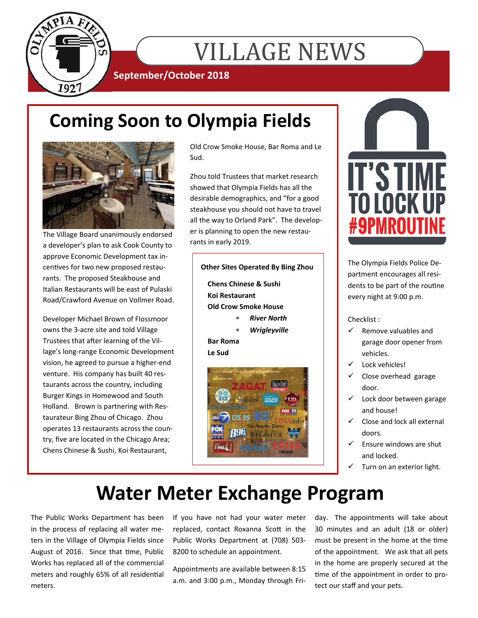

# VILLAGE NEWS

**September/October 2018** 

## **Coming Soon to Olympia Fields**



The Village Board unanimously endorsed a developer's plan to ask Cook County to approve Economic Development tax incentives for two new proposed restaurants. The proposed Steakhouse and Italian Restaurants will be east of Pulaski Road/Crawford Avenue on Vollmer Road.

Developer Michael Brown of Flossmoor owns the 3-acre site and told Village Trustees that after learning of the Village's long-range Economic Development vision, he agreed to pursue a higher-end venture. His company has built 40 restaurants across the country, including Burger Kings in Homewood and South Holland. Brown is partnering with Restaurateur Bing Zhou of Chicago. Zhou operates 13 restaurants across the country, five are located in the Chicago Area; Chens Chinese & Sushi, Koi Restaurant,

Old Crow Smoke House, Bar Roma and Le Sud.

Zhou told Trustees that market research showed that Olympia Fields has all the desirable demographics, and "for a good steakhouse you should not have to travel all the way to Orland Park". The developer is planning to open the new restaurants in early 2019.

### **Other Sites Operated By Bing Zhou**

**Chens Chinese & Sushi Koi Restaurant Old Crow Smoke House** 

- *River North*
- *Wrigleyville*

#### **Bar Roma Le Sud**





The Olympia Fields Police Department encourages all residents to be part of the routine every night at 9:00 p.m.

Checklist :

- Remove valuables and garage door opener from vehicles.
- Lock vehicles!
- $\checkmark$  Close overhead garage door.
- $\checkmark$  Lock door between garage and house!
- $\checkmark$  Close and lock all external doors.
- Ensure windows are shut and locked.
- Turn on an exterior light.

## **Water Meter Exchange Program**

The Public Works Department has been in the process of replacing all water meters in the Village of Olympia Fields since August of 2016. Since that time, Public Works has replaced all of the commercial meters and roughly 65% of all residential meters.

If you have not had your water meter replaced, contact Roxanna Scott in the Public Works Department at (708) 503- 8200 to schedule an appointment.

Appointments are available between 8:15 a.m. and 3:00 p.m., Monday through Friday. The appointments will take about 30 minutes and an adult (18 or older) must be present in the home at the time of the appointment. We ask that all pets in the home are properly secured at the time of the appointment in order to protect our staff and your pets.